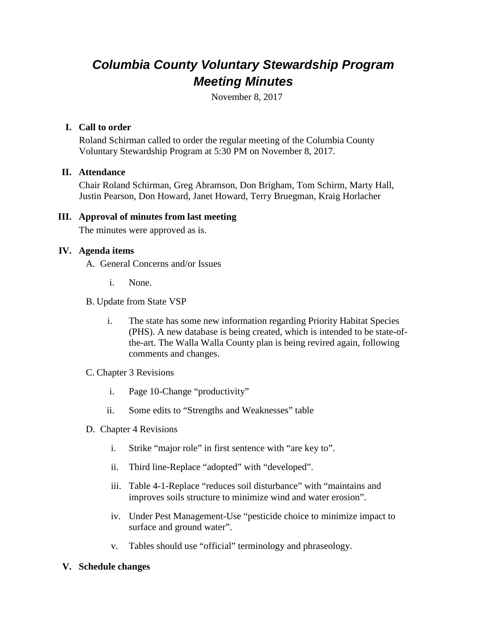# *Columbia County Voluntary Stewardship Program Meeting Minutes*

November 8, 2017

## **I. Call to order**

Roland Schirman called to order the regular meeting of the Columbia County Voluntary Stewardship Program at 5:30 PM on November 8, 2017.

## **II. Attendance**

Chair Roland Schirman, Greg Abramson, Don Brigham, Tom Schirm, Marty Hall, Justin Pearson, Don Howard, Janet Howard, Terry Bruegman, Kraig Horlacher

## **III. Approval of minutes from last meeting**

The minutes were approved as is.

## **IV. Agenda items**

- A. General Concerns and/or Issues
	- i. None.
- B. Update from State VSP
	- i. The state has some new information regarding Priority Habitat Species (PHS). A new database is being created, which is intended to be state-ofthe-art. The Walla Walla County plan is being revired again, following comments and changes.

## C. Chapter 3 Revisions

- i. Page 10-Change "productivity"
- ii. Some edits to "Strengths and Weaknesses" table
- D. Chapter 4 Revisions
	- i. Strike "major role" in first sentence with "are key to".
	- ii. Third line-Replace "adopted" with "developed".
	- iii. Table 4-1-Replace "reduces soil disturbance" with "maintains and improves soils structure to minimize wind and water erosion".
	- iv. Under Pest Management-Use "pesticide choice to minimize impact to surface and ground water".
	- v. Tables should use "official" terminology and phraseology.

## **V. Schedule changes**